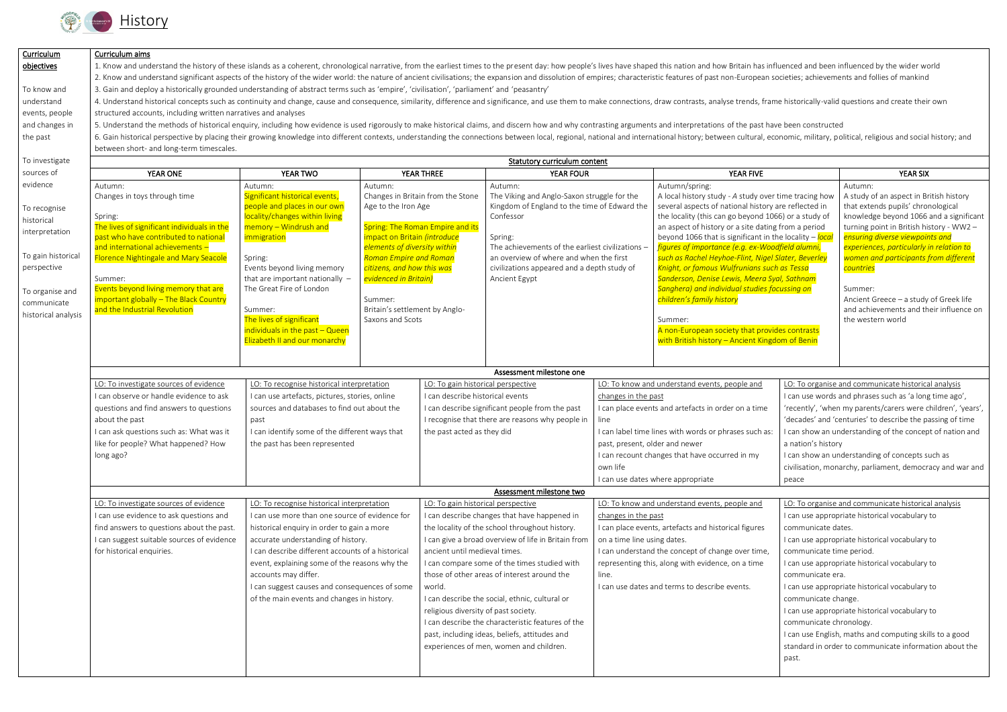

| Curriculum          | Curriculum aims                                                                                                                                                                                                                                                                                                                                                                                                                                                  |                                                                                                                                                                                                                                |                                  |                                                                                                                              |                                                                                                                                  |                                                                                                                 |                                                                                                             |                                                                                                |                                                                                     |  |  |  |
|---------------------|------------------------------------------------------------------------------------------------------------------------------------------------------------------------------------------------------------------------------------------------------------------------------------------------------------------------------------------------------------------------------------------------------------------------------------------------------------------|--------------------------------------------------------------------------------------------------------------------------------------------------------------------------------------------------------------------------------|----------------------------------|------------------------------------------------------------------------------------------------------------------------------|----------------------------------------------------------------------------------------------------------------------------------|-----------------------------------------------------------------------------------------------------------------|-------------------------------------------------------------------------------------------------------------|------------------------------------------------------------------------------------------------|-------------------------------------------------------------------------------------|--|--|--|
| objectives          | 1. Know and understand the history of these islands as a coherent, chronological narrative, from the earliest times to the present day: how people's lives have shaped this nation and how Britain has influenced and been inf<br>2. Know and understand significant aspects of the history of the wider world: the nature of ancient civilisations; the expansion and dissolution of empires; characteristic features of past non-European societies; achieveme |                                                                                                                                                                                                                                |                                  |                                                                                                                              |                                                                                                                                  |                                                                                                                 |                                                                                                             |                                                                                                |                                                                                     |  |  |  |
|                     |                                                                                                                                                                                                                                                                                                                                                                                                                                                                  |                                                                                                                                                                                                                                |                                  |                                                                                                                              |                                                                                                                                  |                                                                                                                 |                                                                                                             |                                                                                                |                                                                                     |  |  |  |
| To know and         | 3. Gain and deploy a historically grounded understanding of abstract terms such as 'empire', 'civilisation', 'parliament' and 'peasantry'                                                                                                                                                                                                                                                                                                                        |                                                                                                                                                                                                                                |                                  |                                                                                                                              |                                                                                                                                  |                                                                                                                 |                                                                                                             |                                                                                                |                                                                                     |  |  |  |
| understand          | 4. Understand historical concepts such as continuity and change, cause and consequence, similarity, difference and significance, and use them to make connections, draw contrasts, analyse trends, frame historically-valid qu                                                                                                                                                                                                                                   |                                                                                                                                                                                                                                |                                  |                                                                                                                              |                                                                                                                                  |                                                                                                                 |                                                                                                             |                                                                                                |                                                                                     |  |  |  |
| events, people      | structured accounts, including written narratives and analyses                                                                                                                                                                                                                                                                                                                                                                                                   |                                                                                                                                                                                                                                |                                  |                                                                                                                              |                                                                                                                                  |                                                                                                                 |                                                                                                             |                                                                                                |                                                                                     |  |  |  |
| and changes in      |                                                                                                                                                                                                                                                                                                                                                                                                                                                                  | 5. Understand the methods of historical enquiry, including how evidence is used rigorously to make historical claims, and discern how and why contrasting arguments and interpretations of the past have been constructed      |                                  |                                                                                                                              |                                                                                                                                  |                                                                                                                 |                                                                                                             |                                                                                                |                                                                                     |  |  |  |
| the past            |                                                                                                                                                                                                                                                                                                                                                                                                                                                                  | 6. Gain historical perspective by placing their growing knowledge into different contexts, understanding the connections between local, regional, national and international history; between cultural, economic, military, po |                                  |                                                                                                                              |                                                                                                                                  |                                                                                                                 |                                                                                                             |                                                                                                |                                                                                     |  |  |  |
|                     | between short- and long-term timescales.                                                                                                                                                                                                                                                                                                                                                                                                                         |                                                                                                                                                                                                                                |                                  |                                                                                                                              |                                                                                                                                  |                                                                                                                 |                                                                                                             |                                                                                                |                                                                                     |  |  |  |
| To investigate      |                                                                                                                                                                                                                                                                                                                                                                                                                                                                  |                                                                                                                                                                                                                                |                                  |                                                                                                                              | <b>Statutory curriculum content</b>                                                                                              |                                                                                                                 |                                                                                                             |                                                                                                |                                                                                     |  |  |  |
| sources of          | YEAR ONE                                                                                                                                                                                                                                                                                                                                                                                                                                                         | YEAR TWO                                                                                                                                                                                                                       |                                  | YEAR THREE                                                                                                                   | <b>YEAR FOUR</b>                                                                                                                 |                                                                                                                 | YEAR FIVE                                                                                                   |                                                                                                | <b>YEAR SIX</b>                                                                     |  |  |  |
| evidence            | Autumn:                                                                                                                                                                                                                                                                                                                                                                                                                                                          | Autumn:                                                                                                                                                                                                                        | Autumn:                          |                                                                                                                              | Autumn:                                                                                                                          |                                                                                                                 | Autumn/spring:                                                                                              |                                                                                                | Autumn:                                                                             |  |  |  |
|                     | Changes in toys through time                                                                                                                                                                                                                                                                                                                                                                                                                                     | Significant historical events,                                                                                                                                                                                                 |                                  |                                                                                                                              | Changes in Britain from the Stone<br>The Viking and Anglo-Saxon struggle for the<br>Kingdom of England to the time of Edward the |                                                                                                                 | A local history study - A study over time tracing how                                                       |                                                                                                | A study of an aspect in British history<br>that extends pupils' chronological       |  |  |  |
| To recognise        |                                                                                                                                                                                                                                                                                                                                                                                                                                                                  | people and places in our own                                                                                                                                                                                                   | Age to the Iron Age              |                                                                                                                              |                                                                                                                                  |                                                                                                                 | several aspects of national history are reflected in                                                        |                                                                                                |                                                                                     |  |  |  |
| historical          | Spring:<br>The lives of significant individuals in the                                                                                                                                                                                                                                                                                                                                                                                                           | locality/changes within living<br>memory - Windrush and                                                                                                                                                                        | Spring: The Roman Empire and its |                                                                                                                              | Confessor                                                                                                                        |                                                                                                                 | the locality (this can go beyond 1066) or a study of<br>an aspect of history or a site dating from a period |                                                                                                | knowledge beyond 1066 and a significant<br>turning point in British history - WW2 - |  |  |  |
| interpretation      | past who have contributed to national                                                                                                                                                                                                                                                                                                                                                                                                                            | immigration                                                                                                                                                                                                                    | impact on Britain (introduce     |                                                                                                                              | Spring:                                                                                                                          |                                                                                                                 | beyond 1066 that is significant in the locality - local                                                     |                                                                                                | ensuring diverse viewpoints and                                                     |  |  |  |
|                     | and international achievements -                                                                                                                                                                                                                                                                                                                                                                                                                                 | elements of diversity within                                                                                                                                                                                                   |                                  | The achievements of the earliest civilizations -                                                                             |                                                                                                                                  |                                                                                                                 | figures of importance (e.g. ex-Woodfield alumni,                                                            |                                                                                                | experiences, particularly in relation to                                            |  |  |  |
| To gain historical  | <b>Florence Nightingale and Mary Seacole</b>                                                                                                                                                                                                                                                                                                                                                                                                                     | Spring:                                                                                                                                                                                                                        | <b>Roman Empire and Roman</b>    |                                                                                                                              | an overview of where and when the first                                                                                          |                                                                                                                 | such as Rachel Heyhoe-Flint, Nigel Slater, Beverley                                                         |                                                                                                | women and participants from different                                               |  |  |  |
| perspective         |                                                                                                                                                                                                                                                                                                                                                                                                                                                                  | Events beyond living memory<br>citizens, and how this was                                                                                                                                                                      |                                  |                                                                                                                              | civilizations appeared and a depth study of                                                                                      |                                                                                                                 | Knight, or famous Wulfrunians such as Tessa                                                                 |                                                                                                | <mark>countries</mark>                                                              |  |  |  |
|                     | Summer:                                                                                                                                                                                                                                                                                                                                                                                                                                                          | that are important nationally $-$<br>evidenced in Britain)                                                                                                                                                                     |                                  | Ancient Egypt                                                                                                                |                                                                                                                                  |                                                                                                                 | Sanderson, Denise Lewis, Meera Syal, Sathnam                                                                |                                                                                                |                                                                                     |  |  |  |
| To organise and     | Events beyond living memory that are<br>important globally - The Black Country                                                                                                                                                                                                                                                                                                                                                                                   | The Great Fire of London                                                                                                                                                                                                       | Summer:                          |                                                                                                                              |                                                                                                                                  |                                                                                                                 | Sanghera) and individual studies focussing on<br>children's family history                                  |                                                                                                | Summer:<br>Ancient Greece - a study of Greek life                                   |  |  |  |
| communicate         | and the Industrial Revolution                                                                                                                                                                                                                                                                                                                                                                                                                                    | Summer:                                                                                                                                                                                                                        | Britain's settlement by Anglo-   |                                                                                                                              |                                                                                                                                  |                                                                                                                 |                                                                                                             |                                                                                                | and achievements and their influence on                                             |  |  |  |
| historical analysis |                                                                                                                                                                                                                                                                                                                                                                                                                                                                  | The lives of significant                                                                                                                                                                                                       | Saxons and Scots                 |                                                                                                                              |                                                                                                                                  |                                                                                                                 | Summer:                                                                                                     |                                                                                                | the western world                                                                   |  |  |  |
|                     |                                                                                                                                                                                                                                                                                                                                                                                                                                                                  | individuals in the past - Queen                                                                                                                                                                                                |                                  |                                                                                                                              |                                                                                                                                  |                                                                                                                 | A non-European society that provides contrasts                                                              |                                                                                                |                                                                                     |  |  |  |
|                     |                                                                                                                                                                                                                                                                                                                                                                                                                                                                  | Elizabeth II and our monarchy                                                                                                                                                                                                  |                                  |                                                                                                                              |                                                                                                                                  |                                                                                                                 | with British history - Ancient Kingdom of Benin                                                             |                                                                                                |                                                                                     |  |  |  |
|                     |                                                                                                                                                                                                                                                                                                                                                                                                                                                                  |                                                                                                                                                                                                                                |                                  |                                                                                                                              |                                                                                                                                  |                                                                                                                 |                                                                                                             |                                                                                                |                                                                                     |  |  |  |
|                     |                                                                                                                                                                                                                                                                                                                                                                                                                                                                  |                                                                                                                                                                                                                                |                                  |                                                                                                                              | Assessment milestone one                                                                                                         |                                                                                                                 |                                                                                                             |                                                                                                |                                                                                     |  |  |  |
|                     | LO: To investigate sources of evidence                                                                                                                                                                                                                                                                                                                                                                                                                           | LO: To recognise historical interpretation                                                                                                                                                                                     |                                  | LO: To gain historical perspective                                                                                           |                                                                                                                                  |                                                                                                                 | LO: To know and understand events, people and                                                               |                                                                                                | LO: To organise and communicate historical analysis                                 |  |  |  |
|                     | I can observe or handle evidence to ask                                                                                                                                                                                                                                                                                                                                                                                                                          | I can use artefacts, pictures, stories, online                                                                                                                                                                                 |                                  | I can describe historical events                                                                                             |                                                                                                                                  | changes in the past                                                                                             |                                                                                                             | I can use words and phrases such as 'a long time ago',                                         |                                                                                     |  |  |  |
|                     | sources and databases to find out about the<br>questions and find answers to questions                                                                                                                                                                                                                                                                                                                                                                           |                                                                                                                                                                                                                                |                                  | I can describe significant people from the past                                                                              |                                                                                                                                  |                                                                                                                 | I can place events and artefacts in order on a time                                                         | 'recently', 'when my parents/carers were children', 'years',                                   |                                                                                     |  |  |  |
|                     | about the past                                                                                                                                                                                                                                                                                                                                                                                                                                                   | past                                                                                                                                                                                                                           |                                  | I recognise that there are reasons why people in                                                                             |                                                                                                                                  | line                                                                                                            |                                                                                                             | 'decades' and 'centuries' to describe the passing of time                                      |                                                                                     |  |  |  |
|                     | I can ask questions such as: What was it                                                                                                                                                                                                                                                                                                                                                                                                                         | I can identify some of the different ways that<br>the past has been represented                                                                                                                                                |                                  | the past acted as they did                                                                                                   |                                                                                                                                  | I can label time lines with words or phrases such as:<br>past, present, older and newer                         |                                                                                                             | I can show an understanding of the concept of nation and<br>a nation's history                 |                                                                                     |  |  |  |
|                     | like for people? What happened? How                                                                                                                                                                                                                                                                                                                                                                                                                              |                                                                                                                                                                                                                                |                                  |                                                                                                                              |                                                                                                                                  |                                                                                                                 |                                                                                                             |                                                                                                |                                                                                     |  |  |  |
|                     | long ago?                                                                                                                                                                                                                                                                                                                                                                                                                                                        |                                                                                                                                                                                                                                |                                  |                                                                                                                              |                                                                                                                                  |                                                                                                                 | I can recount changes that have occurred in my                                                              | I can show an understanding of concepts such as                                                |                                                                                     |  |  |  |
|                     |                                                                                                                                                                                                                                                                                                                                                                                                                                                                  |                                                                                                                                                                                                                                |                                  |                                                                                                                              |                                                                                                                                  | own life                                                                                                        |                                                                                                             | civilisation, monarchy, parliament, democracy and war and                                      |                                                                                     |  |  |  |
|                     |                                                                                                                                                                                                                                                                                                                                                                                                                                                                  |                                                                                                                                                                                                                                |                                  |                                                                                                                              |                                                                                                                                  | I can use dates where appropriate                                                                               |                                                                                                             | peace                                                                                          |                                                                                     |  |  |  |
|                     | Assessment milestone two                                                                                                                                                                                                                                                                                                                                                                                                                                         |                                                                                                                                                                                                                                |                                  |                                                                                                                              |                                                                                                                                  |                                                                                                                 |                                                                                                             |                                                                                                |                                                                                     |  |  |  |
|                     | LO: To investigate sources of evidence                                                                                                                                                                                                                                                                                                                                                                                                                           | LO: To recognise historical interpretation                                                                                                                                                                                     |                                  | LO: To gain historical perspective                                                                                           |                                                                                                                                  | LO: To know and understand events, people and                                                                   |                                                                                                             | LO: To organise and communicate historical analysis                                            |                                                                                     |  |  |  |
|                     | I can use evidence to ask questions and                                                                                                                                                                                                                                                                                                                                                                                                                          | I can use more than one source of evidence for                                                                                                                                                                                 |                                  | I can describe changes that have happened in                                                                                 |                                                                                                                                  | changes in the past                                                                                             |                                                                                                             | I can use appropriate historical vocabulary to                                                 |                                                                                     |  |  |  |
|                     | find answers to questions about the past.<br>historical enquiry in order to gain a more<br>I can suggest suitable sources of evidence<br>accurate understanding of history.                                                                                                                                                                                                                                                                                      |                                                                                                                                                                                                                                |                                  |                                                                                                                              | the locality of the school throughout history.                                                                                   | I can place events, artefacts and historical figures                                                            |                                                                                                             | communicate dates.                                                                             |                                                                                     |  |  |  |
|                     |                                                                                                                                                                                                                                                                                                                                                                                                                                                                  |                                                                                                                                                                                                                                |                                  |                                                                                                                              | I can give a broad overview of life in Britain from                                                                              | on a time line using dates.                                                                                     |                                                                                                             | I can use appropriate historical vocabulary to                                                 |                                                                                     |  |  |  |
|                     | for historical enquiries.                                                                                                                                                                                                                                                                                                                                                                                                                                        | I can describe different accounts of a historical<br>event, explaining some of the reasons why the<br>accounts may differ.                                                                                                     |                                  | ancient until medieval times.<br>I can compare some of the times studied with<br>those of other areas of interest around the |                                                                                                                                  | I can understand the concept of change over time,<br>representing this, along with evidence, on a time<br>line. |                                                                                                             | communicate time period.<br>I can use appropriate historical vocabulary to<br>communicate era. |                                                                                     |  |  |  |
|                     |                                                                                                                                                                                                                                                                                                                                                                                                                                                                  |                                                                                                                                                                                                                                |                                  |                                                                                                                              |                                                                                                                                  |                                                                                                                 |                                                                                                             |                                                                                                |                                                                                     |  |  |  |
|                     |                                                                                                                                                                                                                                                                                                                                                                                                                                                                  |                                                                                                                                                                                                                                |                                  |                                                                                                                              |                                                                                                                                  |                                                                                                                 |                                                                                                             |                                                                                                |                                                                                     |  |  |  |
|                     | I can suggest causes and consequences of some<br>of the main events and changes in history.                                                                                                                                                                                                                                                                                                                                                                      |                                                                                                                                                                                                                                | world.                           |                                                                                                                              | I can use dates and terms to describe events.                                                                                    |                                                                                                                 | I can use appropriate historical vocabulary to                                                              |                                                                                                |                                                                                     |  |  |  |
|                     |                                                                                                                                                                                                                                                                                                                                                                                                                                                                  |                                                                                                                                                                                                                                |                                  |                                                                                                                              | I can describe the social, ethnic, cultural or                                                                                   |                                                                                                                 |                                                                                                             | communicate change.                                                                            |                                                                                     |  |  |  |
|                     |                                                                                                                                                                                                                                                                                                                                                                                                                                                                  |                                                                                                                                                                                                                                |                                  |                                                                                                                              | religious diversity of past society.                                                                                             |                                                                                                                 |                                                                                                             |                                                                                                | I can use appropriate historical vocabulary to                                      |  |  |  |
|                     |                                                                                                                                                                                                                                                                                                                                                                                                                                                                  |                                                                                                                                                                                                                                |                                  | I can describe the characteristic features of the                                                                            |                                                                                                                                  |                                                                                                                 |                                                                                                             | communicate chronology.                                                                        |                                                                                     |  |  |  |
|                     |                                                                                                                                                                                                                                                                                                                                                                                                                                                                  |                                                                                                                                                                                                                                |                                  |                                                                                                                              | past, including ideas, beliefs, attitudes and                                                                                    |                                                                                                                 |                                                                                                             |                                                                                                | I can use English, maths and computing skills to a good                             |  |  |  |
|                     |                                                                                                                                                                                                                                                                                                                                                                                                                                                                  |                                                                                                                                                                                                                                |                                  |                                                                                                                              | experiences of men, women and children.                                                                                          |                                                                                                                 |                                                                                                             |                                                                                                | standard in order to communicate information about the                              |  |  |  |
|                     |                                                                                                                                                                                                                                                                                                                                                                                                                                                                  |                                                                                                                                                                                                                                |                                  |                                                                                                                              |                                                                                                                                  |                                                                                                                 |                                                                                                             | past.                                                                                          |                                                                                     |  |  |  |
|                     |                                                                                                                                                                                                                                                                                                                                                                                                                                                                  |                                                                                                                                                                                                                                |                                  |                                                                                                                              |                                                                                                                                  |                                                                                                                 |                                                                                                             |                                                                                                |                                                                                     |  |  |  |